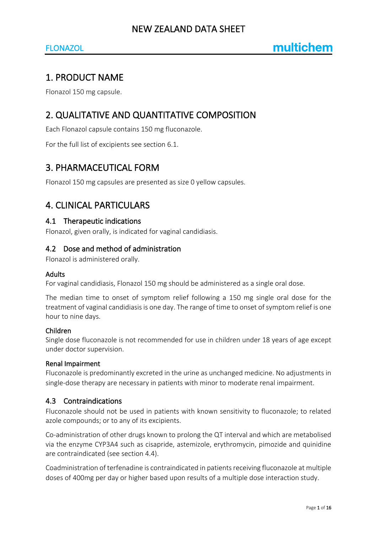## FLONAZOL

# 1. PRODUCT NAME

Flonazol 150 mg capsule.

# 2. QUALITATIVE AND QUANTITATIVE COMPOSITION

Each Flonazol capsule contains 150 mg fluconazole.

For the full list of excipients see section 6.1.

# 3. PHARMACEUTICAL FORM

Flonazol 150 mg capsules are presented as size 0 yellow capsules.

# 4. CLINICAL PARTICULARS

#### 4.1 Therapeutic indications

Flonazol, given orally, is indicated for vaginal candidiasis.

## 4.2 Dose and method of administration

Flonazol is administered orally.

#### Adults

For vaginal candidiasis, Flonazol 150 mg should be administered as a single oral dose.

The median time to onset of symptom relief following a 150 mg single oral dose for the treatment of vaginal candidiasis is one day. The range of time to onset of symptom relief is one hour to nine days.

#### Children

Single dose fluconazole is not recommended for use in children under 18 years of age except under doctor supervision.

#### Renal Impairment

Fluconazole is predominantly excreted in the urine as unchanged medicine. No adjustments in single-dose therapy are necessary in patients with minor to moderate renal impairment.

## 4.3 Contraindications

Fluconazole should not be used in patients with known sensitivity to fluconazole; to related azole compounds; or to any of its excipients.

Co-administration of other drugs known to prolong the QT interval and which are metabolised via the enzyme CYP3A4 such as cisapride, astemizole, erythromycin, pimozide and quinidine are contraindicated (see section 4.4).

Coadministration of terfenadine is contraindicated in patients receiving fluconazole at multiple doses of 400mg per day or higher based upon results of a multiple dose interaction study.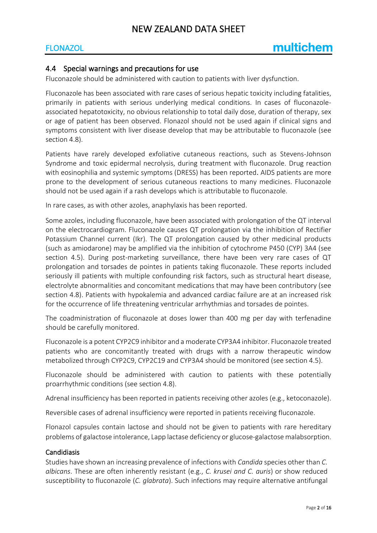## FLONAZOL

## 4.4 Special warnings and precautions for use

Fluconazole should be administered with caution to patients with liver dysfunction.

Fluconazole has been associated with rare cases of serious hepatic toxicity including fatalities, primarily in patients with serious underlying medical conditions. In cases of fluconazoleassociated hepatotoxicity, no obvious relationship to total daily dose, duration of therapy, sex or age of patient has been observed. Flonazol should not be used again if clinical signs and symptoms consistent with liver disease develop that may be attributable to fluconazole (see section 4.8).

Patients have rarely developed exfoliative cutaneous reactions, such as Stevens-Johnson Syndrome and toxic epidermal necrolysis, during treatment with fluconazole. Drug reaction with eosinophilia and systemic symptoms (DRESS) has been reported. AIDS patients are more prone to the development of serious cutaneous reactions to many medicines. Fluconazole should not be used again if a rash develops which is attributable to fluconazole.

In rare cases, as with other azoles, anaphylaxis has been reported.

Some azoles, including fluconazole, have been associated with prolongation of the QT interval on the electrocardiogram. Fluconazole causes QT prolongation via the inhibition of Rectifier Potassium Channel current (Ikr). The QT prolongation caused by other medicinal products (such as amiodarone) may be amplified via the inhibition of cytochrome P450 (CYP) 3A4 (see section 4.5). During post-marketing surveillance, there have been very rare cases of QT prolongation and torsades de pointes in patients taking fluconazole. These reports included seriously ill patients with multiple confounding risk factors, such as structural heart disease, electrolyte abnormalities and concomitant medications that may have been contributory (see section 4.8). Patients with hypokalemia and advanced cardiac failure are at an increased risk for the occurrence of life threatening ventricular arrhythmias and torsades de pointes.

The coadministration of fluconazole at doses lower than 400 mg per day with terfenadine should be carefully monitored.

Fluconazole is a potent CYP2C9 inhibitor and a moderate CYP3A4 inhibitor. Fluconazole treated patients who are concomitantly treated with drugs with a narrow therapeutic window metabolized through CYP2C9, CYP2C19 and CYP3A4 should be monitored (see section 4.5).

Fluconazole should be administered with caution to patients with these potentially proarrhythmic conditions (see section 4.8).

Adrenal insufficiency has been reported in patients receiving other azoles (e.g., ketoconazole).

Reversible cases of adrenal insufficiency were reported in patients receiving fluconazole.

Flonazol capsules contain lactose and should not be given to patients with rare hereditary problems of galactose intolerance, Lapp lactase deficiency or glucose-galactose malabsorption.

#### Candidiasis

Studies have shown an increasing prevalence of infections with *Candida* species other than *C. albicans*. These are often inherently resistant (e.g., *C. krusei and C. auris*) or show reduced susceptibility to fluconazole (*C. glabrata*). Such infections may require alternative antifungal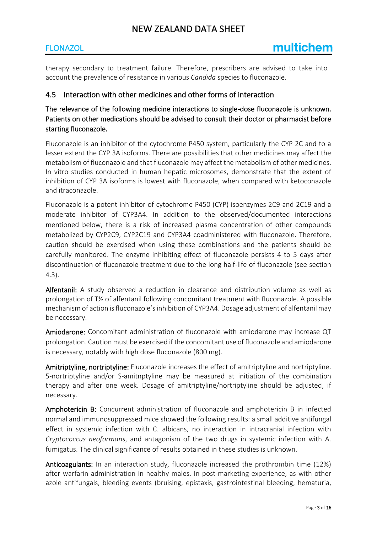## FLONAZOL

therapy secondary to treatment failure. Therefore, prescribers are advised to take into account the prevalence of resistance in various *Candida* species to fluconazole.

## 4.5 Interaction with other medicines and other forms of interaction

The relevance of the following medicine interactions to single-dose fluconazole is unknown. Patients on other medications should be advised to consult their doctor or pharmacist before starting fluconazole.

Fluconazole is an inhibitor of the cytochrome P450 system, particularly the CYP 2C and to a lesser extent the CYP 3A isoforms. There are possibilities that other medicines may affect the metabolism of fluconazole and that fluconazole may affect the metabolism of other medicines. In vitro studies conducted in human hepatic microsomes, demonstrate that the extent of inhibition of CYP 3A isoforms is lowest with fluconazole, when compared with ketoconazole and itraconazole.

Fluconazole is a potent inhibitor of cytochrome P450 (CYP) isoenzymes 2C9 and 2C19 and a moderate inhibitor of CYP3A4. In addition to the observed/documented interactions mentioned below, there is a risk of increased plasma concentration of other compounds metabolized by CYP2C9, CYP2C19 and CYP3A4 coadministered with fluconazole. Therefore, caution should be exercised when using these combinations and the patients should be carefully monitored. The enzyme inhibiting effect of fluconazole persists 4 to 5 days after discontinuation of fluconazole treatment due to the long half-life of fluconazole (see section 4.3).

Alfentanil: A study observed a reduction in clearance and distribution volume as well as prolongation of T½ of alfentanil following concomitant treatment with fluconazole. A possible mechanism of action is fluconazole's inhibition of CYP3A4. Dosage adjustment of alfentanil may be necessary.

Amiodarone: Concomitant administration of fluconazole with amiodarone may increase QT prolongation. Caution must be exercised if the concomitant use of fluconazole and amiodarone is necessary, notably with high dose fluconazole (800 mg).

Amitriptyline, nortriptyline: Fluconazole increases the effect of amitriptyline and nortriptyline. 5-nortriptyline and/or S-amitnptyline may be measured at initiation of the combination therapy and after one week. Dosage of amitriptyline/nortriptyline should be adjusted, if necessary.

Amphotericin B: Concurrent administration of fluconazole and amphotericin B in infected normal and immunosuppressed mice showed the following results: a small additive antifungal effect in systemic infection with C. albicans, no interaction in intracranial infection with *Cryptococcus neoformans*, and antagonism of the two drugs in systemic infection with A. fumigatus. The clinical significance of results obtained in these studies is unknown.

Anticoagulants: In an interaction study, fluconazole increased the prothrombin time (12%) after warfarin administration in healthy males. In post-marketing experience, as with other azole antifungals, bleeding events (bruising, epistaxis, gastrointestinal bleeding, hematuria,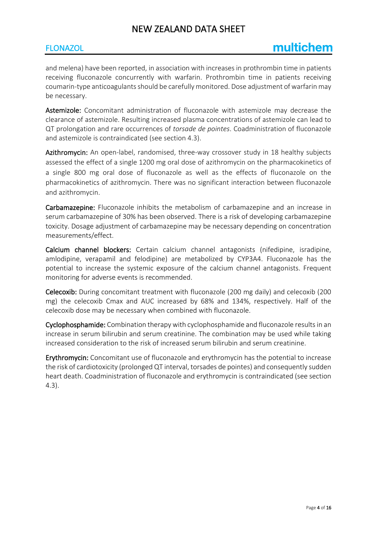## FLONAZOL

and melena) have been reported, in association with increases in prothrombin time in patients receiving fluconazole concurrently with warfarin. Prothrombin time in patients receiving coumarin-type anticoagulants should be carefully monitored. Dose adjustment of warfarin may be necessary.

Astemizole: Concomitant administration of fluconazole with astemizole may decrease the clearance of astemizole. Resulting increased plasma concentrations of astemizole can lead to QT prolongation and rare occurrences of *torsade de pointes*. Coadministration of fluconazole and astemizole is contraindicated (see section 4.3).

Azithromycin: An open-label, randomised, three-way crossover study in 18 healthy subjects assessed the effect of a single 1200 mg oral dose of azithromycin on the pharmacokinetics of a single 800 mg oral dose of fluconazole as well as the effects of fluconazole on the pharmacokinetics of azithromycin. There was no significant interaction between fluconazole and azithromycin.

Carbamazepine: Fluconazole inhibits the metabolism of carbamazepine and an increase in serum carbamazepine of 30% has been observed. There is a risk of developing carbamazepine toxicity. Dosage adjustment of carbamazepine may be necessary depending on concentration measurements/effect.

Calcium channel blockers: Certain calcium channel antagonists (nifedipine, isradipine, amlodipine, verapamil and felodipine) are metabolized by CYP3A4. Fluconazole has the potential to increase the systemic exposure of the calcium channel antagonists. Frequent monitoring for adverse events is recommended.

Celecoxib: During concomitant treatment with fluconazole (200 mg daily) and celecoxib (200 mg) the celecoxib Cmax and AUC increased by 68% and 134%, respectively. Half of the celecoxib dose may be necessary when combined with fluconazole.

Cyclophosphamide: Combination therapy with cyclophosphamide and fluconazole results in an increase in serum bilirubin and serum creatinine. The combination may be used while taking increased consideration to the risk of increased serum bilirubin and serum creatinine.

Erythromycin: Concomitant use of fluconazole and erythromycin has the potential to increase the risk of cardiotoxicity (prolonged QT interval, torsades de pointes) and consequently sudden heart death. Coadministration of fluconazole and erythromycin is contraindicated (see section 4.3).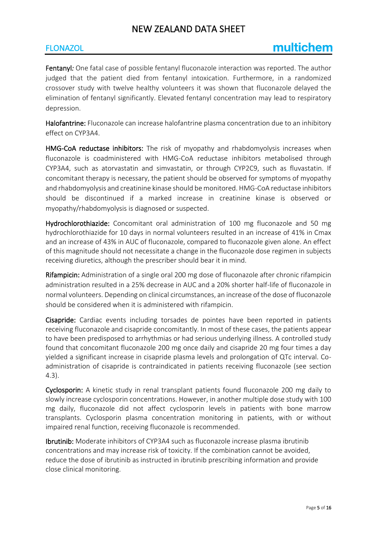## FLONAZOL

Fentanyl*:* One fatal case of possible fentanyl fluconazole interaction was reported. The author judged that the patient died from fentanyl intoxication. Furthermore, in a randomized crossover study with twelve healthy volunteers it was shown that fluconazole delayed the elimination of fentanyl significantly. Elevated fentanyl concentration may lead to respiratory depression.

Halofantrine: Fluconazole can increase halofantrine plasma concentration due to an inhibitory effect on CYP3A4.

HMG-CoA reductase inhibitors: The risk of myopathy and rhabdomyolysis increases when fluconazole is coadministered with HMG-CoA reductase inhibitors metabolised through CYP3A4, such as atorvastatin and simvastatin, or through CYP2C9, such as fluvastatin. If concomitant therapy is necessary, the patient should be observed for symptoms of myopathy and rhabdomyolysis and creatinine kinase should be monitored. HMG-CoA reductase inhibitors should be discontinued if a marked increase in creatinine kinase is observed or myopathy/rhabdomyolysis is diagnosed or suspected.

Hydrochlorothiazide: Concomitant oral administration of 100 mg fluconazole and 50 mg hydrochlorothiazide for 10 days in normal volunteers resulted in an increase of 41% in Cmax and an increase of 43% in AUC of fluconazole, compared to fluconazole given alone. An effect of this magnitude should not necessitate a change in the fluconazole dose regimen in subjects receiving diuretics, although the prescriber should bear it in mind.

Rifampicin: Administration of a single oral 200 mg dose of fluconazole after chronic rifampicin administration resulted in a 25% decrease in AUC and a 20% shorter half-life of fluconazole in normal volunteers. Depending on clinical circumstances, an increase of the dose of fluconazole should be considered when it is administered with rifampicin.

Cisapride: Cardiac events including torsades de pointes have been reported in patients receiving fluconazole and cisapride concomitantly. In most of these cases, the patients appear to have been predisposed to arrhythmias or had serious underlying illness. A controlled study found that concomitant fluconazole 200 mg once daily and cisapride 20 mg four times a day yielded a significant increase in cisapride plasma levels and prolongation of QTc interval. Coadministration of cisapride is contraindicated in patients receiving fluconazole (see section 4.3).

Cyclosporin: A kinetic study in renal transplant patients found fluconazole 200 mg daily to slowly increase cyclosporin concentrations. However, in another multiple dose study with 100 mg daily, fluconazole did not affect cyclosporin levels in patients with bone marrow transplants. Cyclosporin plasma concentration monitoring in patients, with or without impaired renal function, receiving fluconazole is recommended.

Ibrutinib: Moderate inhibitors of CYP3A4 such as fluconazole increase plasma ibrutinib concentrations and may increase risk of toxicity. If the combination cannot be avoided, reduce the dose of ibrutinib as instructed in ibrutinib prescribing information and provide close clinical monitoring.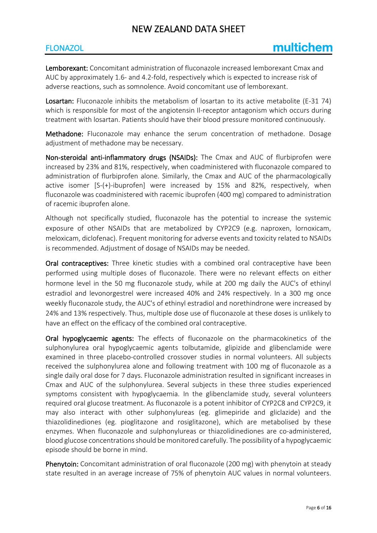## **FLONAZOL**

Lemborexant: Concomitant administration of fluconazole increased lemborexant Cmax and AUC by approximately 1.6- and 4.2-fold, respectively which is expected to increase risk of adverse reactions, such as somnolence. Avoid concomitant use of lemborexant.

Losartan: Fluconazole inhibits the metabolism of losartan to its active metabolite (E-31 74) which is responsible for most of the angiotensin Il-receptor antagonism which occurs during treatment with losartan. Patients should have their blood pressure monitored continuously.

Methadone: Fluconazole may enhance the serum concentration of methadone. Dosage adjustment of methadone may be necessary.

Non-steroidal anti-inflammatory drugs (NSAIDs): The Cmax and AUC of flurbiprofen were increased by 23% and 81%, respectively, when coadministered with fluconazole compared to administration of flurbiprofen alone. Similarly, the Cmax and AUC of the pharmacologically active isomer [S-(+)-ibuprofen] were increased by 15% and 82%, respectively, when fluconazole was coadministered with racemic ibuprofen (400 mg) compared to administration of racemic ibuprofen alone.

Although not specifically studied, fluconazole has the potential to increase the systemic exposure of other NSAIDs that are metabolized by CYP2C9 (e.g. naproxen, lornoxicam, meloxicam, diclofenac). Frequent monitoring for adverse events and toxicity related to NSAIDs is recommended. Adjustment of dosage of NSAIDs may be needed.

Oral contraceptives: Three kinetic studies with a combined oral contraceptive have been performed using multiple doses of fluconazole. There were no relevant effects on either hormone level in the 50 mg fluconazole study, while at 200 mg daily the AUC's of ethinyl estradiol and levonorgestrel were increased 40% and 24% respectively. In a 300 mg once weekly fluconazole study, the AUC's of ethinyl estradiol and norethindrone were increased by 24% and 13% respectively. Thus, multiple dose use of fluconazole at these doses is unlikely to have an effect on the efficacy of the combined oral contraceptive.

Oral hypoglycaemic agents: The effects of fluconazole on the pharmacokinetics of the sulphonylurea oral hypoglycaemic agents tolbutamide, glipizide and glibenclamide were examined in three placebo-controlled crossover studies in normal volunteers. All subjects received the sulphonylurea alone and following treatment with 100 mg of fluconazole as a single daily oral dose for 7 days. Fluconazole administration resulted in significant increases in Cmax and AUC of the sulphonylurea. Several subjects in these three studies experienced symptoms consistent with hypoglycaemia. In the glibenclamide study, several volunteers required oral glucose treatment. As fluconazole is a potent inhibitor of CYP2C8 and CYP2C9, it may also interact with other sulphonylureas (eg. glimepiride and gliclazide) and the thiazolidinediones (eg. pioglitazone and rosiglitazone), which are metabolised by these enzymes. When fluconazole and sulphonylureas or thiazolidinediones are co-administered, blood glucose concentrations should be monitored carefully. The possibility of a hypoglycaemic episode should be borne in mind.

Phenytoin: Concomitant administration of oral fluconazole (200 mg) with phenytoin at steady state resulted in an average increase of 75% of phenytoin AUC values in normal volunteers.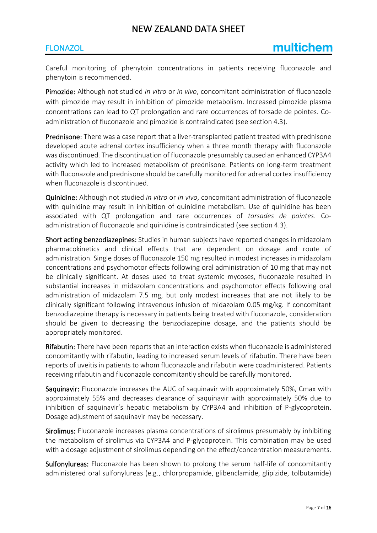#### **FLONAZOL**

Careful monitoring of phenytoin concentrations in patients receiving fluconazole and phenytoin is recommended.

Pimozide: Although not studied *in vitro* or *in vivo*, concomitant administration of fluconazole with pimozide may result in inhibition of pimozide metabolism. Increased pimozide plasma concentrations can lead to QT prolongation and rare occurrences of torsade de pointes. Coadministration of fluconazole and pimozide is contraindicated (see section 4.3).

Prednisone: There was a case report that a liver-transplanted patient treated with prednisone developed acute adrenal cortex insufficiency when a three month therapy with fluconazole was discontinued. The discontinuation of fluconazole presumably caused an enhanced CYP3A4 activity which led to increased metabolism of prednisone. Patients on long-term treatment with fluconazole and prednisone should be carefully monitored for adrenal cortex insufficiency when fluconazole is discontinued.

Quinidine: Although not studied *in vitro* or *in vivo*, concomitant administration of fluconazole with quinidine may result in inhibition of quinidine metabolism. Use of quinidine has been associated with QT prolongation and rare occurrences of *torsades de pointes*. Coadministration of fluconazole and quinidine is contraindicated (see section 4.3).

Short acting benzodiazepines: Studies in human subjects have reported changes in midazolam pharmacokinetics and clinical effects that are dependent on dosage and route of administration. Single doses of fluconazole 150 mg resulted in modest increases in midazolam concentrations and psychomotor effects following oral administration of 10 mg that may not be clinically significant. At doses used to treat systemic mycoses, fluconazole resulted in substantial increases in midazolam concentrations and psychomotor effects following oral administration of midazolam 7.5 mg, but only modest increases that are not likely to be clinically significant following intravenous infusion of midazolam 0.05 mg/kg. If concomitant benzodiazepine therapy is necessary in patients being treated with fluconazole, consideration should be given to decreasing the benzodiazepine dosage, and the patients should be appropriately monitored.

Rifabutin: There have been reports that an interaction exists when fluconazole is administered concomitantly with rifabutin, leading to increased serum levels of rifabutin. There have been reports of uveitis in patients to whom fluconazole and rifabutin were coadministered. Patients receiving rifabutin and fluconazole concomitantly should be carefully monitored.

Saquinavir: Fluconazole increases the AUC of saquinavir with approximately 50%, Cmax with approximately 55% and decreases clearance of saquinavir with approximately 50% due to inhibition of saquinavir's hepatic metabolism by CYP3A4 and inhibition of P-glycoprotein. Dosage adjustment of saquinavir may be necessary.

Sirolimus: Fluconazole increases plasma concentrations of sirolimus presumably by inhibiting the metabolism of sirolimus via CYP3A4 and P-glycoprotein. This combination may be used with a dosage adjustment of sirolimus depending on the effect/concentration measurements.

Sulfonylureas: Fluconazole has been shown to prolong the serum half-life of concomitantly administered oral sulfonylureas (e.g., chlorpropamide, glibenclamide, glipizide, tolbutamide)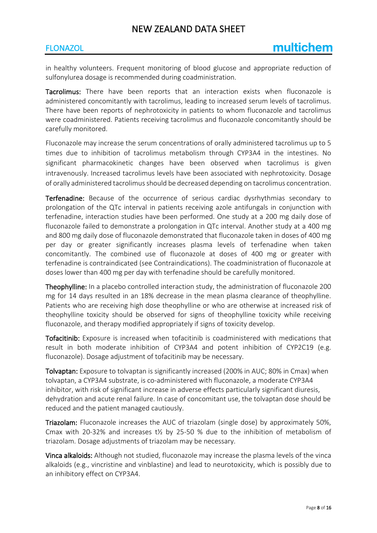#### **FLONAZOL**

in healthy volunteers. Frequent monitoring of blood glucose and appropriate reduction of sulfonylurea dosage is recommended during coadministration.

Tacrolimus: There have been reports that an interaction exists when fluconazole is administered concomitantly with tacrolimus, leading to increased serum levels of tacrolimus. There have been reports of nephrotoxicity in patients to whom fluconazole and tacrolimus were coadministered. Patients receiving tacrolimus and fluconazole concomitantly should be carefully monitored.

Fluconazole may increase the serum concentrations of orally administered tacrolimus up to 5 times due to inhibition of tacrolimus metabolism through CYP3A4 in the intestines. No significant pharmacokinetic changes have been observed when tacrolimus is given intravenously. Increased tacrolimus levels have been associated with nephrotoxicity. Dosage of orally administered tacrolimus should be decreased depending on tacrolimus concentration.

Terfenadine: Because of the occurrence of serious cardiac dysrhythmias secondary to prolongation of the QTc interval in patients receiving azole antifungals in conjunction with terfenadine, interaction studies have been performed. One study at a 200 mg daily dose of fluconazole failed to demonstrate a prolongation in QTc interval. Another study at a 400 mg and 800 mg daily dose of fluconazole demonstrated that fluconazole taken in doses of 400 mg per day or greater significantly increases plasma levels of terfenadine when taken concomitantly. The combined use of fluconazole at doses of 400 mg or greater with terfenadine is contraindicated (see Contraindications). The coadministration of fluconazole at doses lower than 400 mg per day with terfenadine should be carefully monitored.

Theophylline: In a placebo controlled interaction study, the administration of fluconazole 200 mg for 14 days resulted in an 18% decrease in the mean plasma clearance of theophylline. Patients who are receiving high dose theophylline or who are otherwise at increased risk of theophylline toxicity should be observed for signs of theophylline toxicity while receiving fluconazole, and therapy modified appropriately if signs of toxicity develop.

Tofacitinib: Exposure is increased when tofacitinib is coadministered with medications that result in both moderate inhibition of CYP3A4 and potent inhibition of CYP2C19 (e.g. fluconazole). Dosage adjustment of tofacitinib may be necessary.

Tolvaptan: Exposure to tolvaptan is significantly increased (200% in AUC; 80% in Cmax) when tolvaptan, a CYP3A4 substrate, is co-administered with fluconazole, a moderate CYP3A4 inhibitor, with risk of significant increase in adverse effects particularly significant diuresis, dehydration and acute renal failure. In case of concomitant use, the tolvaptan dose should be reduced and the patient managed cautiously.

Triazolam: Fluconazole increases the AUC of triazolam (single dose) by approximately 50%, Cmax with 20-32% and increases  $t\frac{1}{2}$  by 25-50 % due to the inhibition of metabolism of triazolam. Dosage adjustments of triazolam may be necessary.

Vinca alkaloids: Although not studied, fluconazole may increase the plasma levels of the vinca alkaloids (e.g., vincristine and vinblastine) and lead to neurotoxicity, which is possibly due to an inhibitory effect on CYP3A4.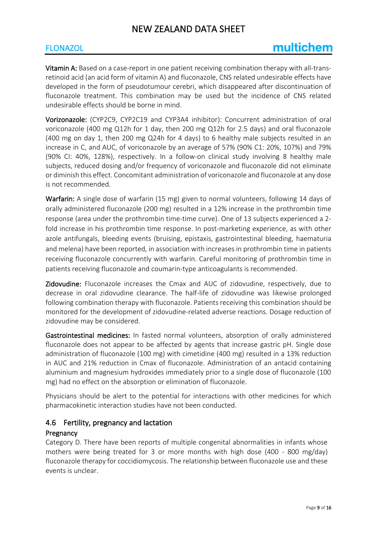## **FLONAZOL**

# multichem

Vitamin A: Based on a case-report in one patient receiving combination therapy with all-transretinoid acid (an acid form of vitamin A) and fluconazole, CNS related undesirable effects have developed in the form of pseudotumour cerebri, which disappeared after discontinuation of fluconazole treatment. This combination may be used but the incidence of CNS related undesirable effects should be borne in mind.

Vorizonazole: (CYP2C9, CYP2C19 and CYP3A4 inhibitor): Concurrent administration of oral voriconazole (400 mg Q12h for 1 day, then 200 mg Q12h for 2.5 days) and oral fluconazole (400 mg on day 1, then 200 mg Q24h for 4 days) to 6 healthy male subjects resulted in an increase in C, and AUC, of voriconazole by an average of 57% (90% C1: 20%, 107%) and 79% (90% CI: 40%, 128%), respectively. In a follow-on clinical study involving 8 healthy male subjects, reduced dosing and/or frequency of voriconazole and fluconazole did not eliminate or diminish this effect. Concomitant administration of voriconazole and fluconazole at any dose is not recommended.

Warfarin: A single dose of warfarin (15 mg) given to normal volunteers, following 14 days of orally administered fluconazole (200 mg) resulted in a 12% increase in the prothrombin time response (area under the prothrombin time-time curve). One of 13 subjects experienced a 2 fold increase in his prothrombin time response. In post-marketing experience, as with other azole antifungals, bleeding events (bruising, epistaxis, gastrointestinal bleeding, haematuria and melena) have been reported, in association with increases in prothrombin time in patients receiving fluconazole concurrently with warfarin. Careful monitoring of prothrombin time in patients receiving fluconazole and coumarin-type anticoagulants is recommended.

Zidovudine: Fluconazole increases the Cmax and AUC of zidovudine, respectively, due to decrease in oral zidovudine clearance. The half-life of zidovudine was likewise prolonged following combination therapy with fluconazole. Patients receiving this combination should be monitored for the development of zidovudine-related adverse reactions. Dosage reduction of zidovudine may be considered.

Gastrointestinal medicines: In fasted normal volunteers, absorption of orally administered fluconazole does not appear to be affected by agents that increase gastric pH. Single dose administration of fluconazole (100 mg) with cimetidine (400 mg) resulted in a 13% reduction in AUC and 21% reduction in Cmax of fluconazole. Administration of an antacid containing aluminium and magnesium hydroxides immediately prior to a single dose of fluconazole (100 mg) had no effect on the absorption or elimination of fluconazole.

Physicians should be alert to the potential for interactions with other medicines for which pharmacokinetic interaction studies have not been conducted.

## 4.6 Fertility, pregnancy and lactation

#### **Pregnancy**

Category D. There have been reports of multiple congenital abnormalities in infants whose mothers were being treated for 3 or more months with high dose (400 - 800 mg/day) fluconazole therapy for coccidiomycosis. The relationship between fluconazole use and these events is unclear.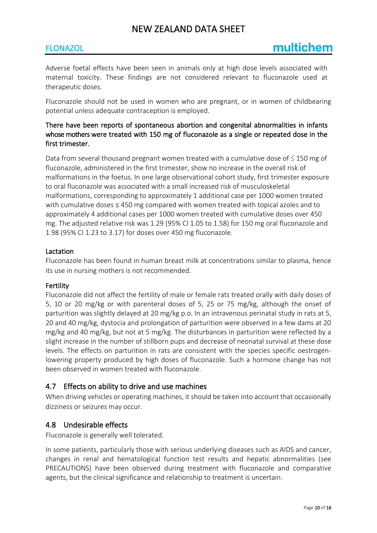## FLONAZOL

Adverse foetal effects have been seen in animals only at high dose levels associated with maternal toxicity. These findings are not considered relevant to fluconazole used at therapeutic doses.

Fluconazole should not be used in women who are pregnant, or in women of childbearing potential unless adequate contraception is employed.

## There have been reports of spontaneous abortion and congenital abnormalities in infants whose mothers were treated with 150 mg of fluconazole as a single or repeated dose in the first trimester.

Data from several thousand pregnant women treated with a cumulative dose of  $\leq$  150 mg of fluconazole, administered in the first trimester, show no increase in the overall risk of malformations in the foetus. In one large observational cohort study, first trimester exposure to oral fluconazole was associated with a small increased risk of musculoskeletal malformations, corresponding to approximately 1 additional case per 1000 women treated with cumulative doses ≤ 450 mg compared with women treated with topical azoles and to approximately 4 additional cases per 1000 women treated with cumulative doses over 450 mg. The adjusted relative risk was 1.29 (95% CI 1.05 to 1.58) for 150 mg oral fluconazole and 1.98 (95% CI 1.23 to 3.17) for doses over 450 mg fluconazole.

#### Lactation

Fluconazole has been found in human breast milk at concentrations similar to plasma, hence its use in nursing mothers is not recommended.

#### Fertility

Fluconazole did not affect the fertility of male or female rats treated orally with daily doses of 5, 10 or 20 mg/kg or with parenteral doses of 5, 25 or 75 mg/kg, although the onset of parturition was slightly delayed at 20 mg/kg p.o. In an intravenous perinatal study in rats at 5, 20 and 40 mg/kg, dystocia and prolongation of parturition were observed in a few dams at 20 mg/kg and 40 mg/kg, but not at 5 mg/kg. The disturbances in parturition were reflected by a slight increase in the number of stillborn pups and decrease of neonatal survival at these dose levels. The effects on parturition in rats are consistent with the species specific oestrogenlowering property produced by high doses of fluconazole. Such a hormone change has not been observed in women treated with fluconazole.

## 4.7 Effects on ability to drive and use machines

When driving vehicles or operating machines, it should be taken into account that occasionally dizziness or seizures may occur.

## 4.8 Undesirable effects

Fluconazole is generally well tolerated.

In some patients, particularly those with serious underlying diseases such as AIDS and cancer, changes in renal and hematological function test results and hepatic abnormalities (see PRECAUTIONS) have been observed during treatment with fluconazole and comparative agents, but the clinical significance and relationship to treatment is uncertain.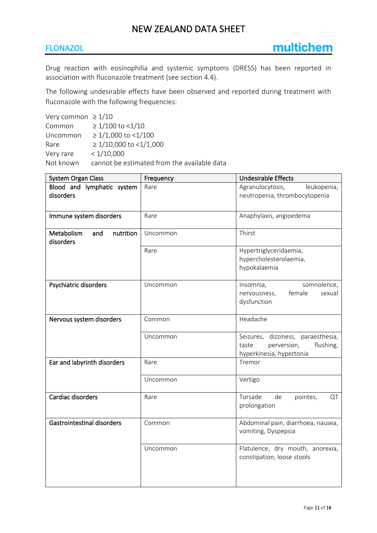## FLONAZOL

Drug reaction with eosinophilia and systemic symptoms (DRESS) has been reported in association with fluconazole treatment (see section 4.4).

The following undesirable effects have been observed and reported during treatment with fluconazole with the following frequencies:

| Very common $\geq 1/10$                     |
|---------------------------------------------|
| $\geq 1/100$ to <1/10                       |
| $\geq 1/1,000$ to <1/100                    |
| $\geq 1/10,000$ to <1/1,000                 |
| < 1/10,000                                  |
| cannot be estimated from the available data |
|                                             |

| System Organ Class                          | Frequency | Undesirable Effects                                                                                 |
|---------------------------------------------|-----------|-----------------------------------------------------------------------------------------------------|
| Blood and lymphatic system<br>disorders     | Rare      | Agranulocytosis,<br>leukopenia,<br>neutropenia, thrombocytopenia                                    |
| Immune system disorders                     | Rare      | Anaphylaxis, angioedema                                                                             |
| Metabolism<br>nutrition<br>and<br>disorders | Uncommon  | Thirst                                                                                              |
|                                             | Rare      | Hypertriglyceridaemia,<br>hypercholesterolaemia,<br>hypokalaemia                                    |
| Psychiatric disorders                       | Uncommon  | Insomnia,<br>somnolence,<br>nervousness,<br>female<br>sexual<br>dysfunction                         |
| Nervous system disorders                    | Common    | Headache                                                                                            |
|                                             | Uncommon  | Seizures, dizziness, paraesthesia,<br>flushing,<br>taste<br>perversion,<br>hyperkinesia, hypertonia |
| Ear and labyrinth disorders                 | Rare      | Tremor                                                                                              |
|                                             | Uncommon  | Vertigo                                                                                             |
| Cardiac disorders                           | Rare      | Torsade<br>de<br>pointes,<br>QT<br>prolongation                                                     |
| <b>Gastrointestinal disorders</b>           | Common    | Abdominal pain, diarrhoea, nausea,<br>vomiting, Dyspepsia                                           |
|                                             | Uncommon  | Flatulence, dry mouth, anorexia,<br>constipation, loose stools                                      |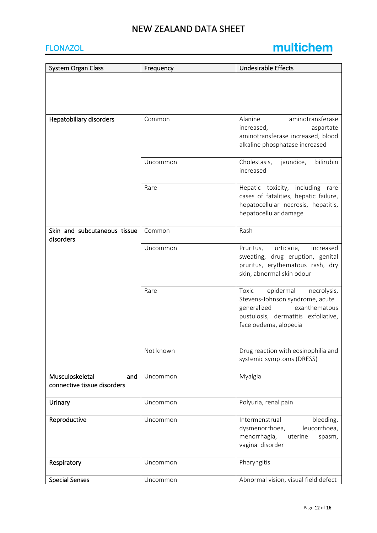# FLONAZOL

# multichem

| System Organ Class                                    | Frequency | <b>Undesirable Effects</b>                                                                                                                                           |
|-------------------------------------------------------|-----------|----------------------------------------------------------------------------------------------------------------------------------------------------------------------|
|                                                       |           |                                                                                                                                                                      |
| Hepatobiliary disorders                               | Common    | Alanine<br>aminotransferase<br>aspartate<br>increased,<br>aminotransferase increased, blood<br>alkaline phosphatase increased                                        |
|                                                       | Uncommon  | Cholestasis,<br>jaundice,<br>bilirubin<br>increased                                                                                                                  |
|                                                       | Rare      | Hepatic toxicity, including<br>rare<br>cases of fatalities, hepatic failure,<br>hepatocellular necrosis, hepatitis,<br>hepatocellular damage                         |
| Skin and subcutaneous tissue<br>disorders             | Common    | Rash                                                                                                                                                                 |
|                                                       | Uncommon  | urticaria,<br>Pruritus,<br>increased<br>sweating, drug eruption, genital<br>pruritus, erythematous rash, dry<br>skin, abnormal skin odour                            |
|                                                       | Rare      | epidermal<br>Toxic<br>necrolysis,<br>Stevens-Johnson syndrome, acute<br>exanthematous<br>generalized<br>pustulosis, dermatitis exfoliative,<br>face oedema, alopecia |
|                                                       | Not known | Drug reaction with eosinophilia and<br>systemic symptoms (DRESS)                                                                                                     |
| Musculoskeletal<br>and<br>connective tissue disorders | Uncommon  | Myalgia                                                                                                                                                              |
| Urinary                                               | Uncommon  | Polyuria, renal pain                                                                                                                                                 |
| Reproductive                                          | Uncommon  | bleeding,<br>Intermenstrual<br>leucorrhoea,<br>dysmenorrhoea,<br>menorrhagia,<br>uterine<br>spasm,<br>vaginal disorder                                               |
| Respiratory                                           | Uncommon  | Pharyngitis                                                                                                                                                          |
| <b>Special Senses</b>                                 | Uncommon  | Abnormal vision, visual field defect                                                                                                                                 |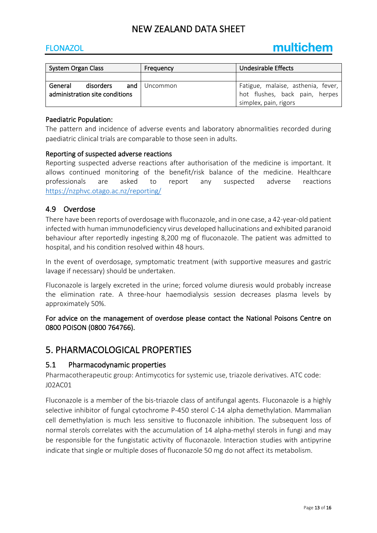## FLONAZOL

| <b>System Organ Class</b>      |           | Frequency    | <b>Undesirable Effects</b>         |
|--------------------------------|-----------|--------------|------------------------------------|
|                                |           |              |                                    |
| General                        | disorders | and Uncommon | Fatigue, malaise, asthenia, fever, |
| administration site conditions |           |              | hot flushes, back pain, herpes     |
|                                |           |              | simplex, pain, rigors              |

#### Paediatric Population:

The pattern and incidence of adverse events and laboratory abnormalities recorded during paediatric clinical trials are comparable to those seen in adults.

#### Reporting of suspected adverse reactions

Reporting suspected adverse reactions after authorisation of the medicine is important. It allows continued monitoring of the benefit/risk balance of the medicine. Healthcare professionals are asked to report any suspected adverse reactions <https://nzphvc.otago.ac.nz/reporting/>

#### 4.9 Overdose

There have been reports of overdosage with fluconazole, and in one case, a 42-year-old patient infected with human immunodeficiency virus developed hallucinations and exhibited paranoid behaviour after reportedly ingesting 8,200 mg of fluconazole. The patient was admitted to hospital, and his condition resolved within 48 hours.

In the event of overdosage, symptomatic treatment (with supportive measures and gastric lavage if necessary) should be undertaken.

Fluconazole is largely excreted in the urine; forced volume diuresis would probably increase the elimination rate. A three-hour haemodialysis session decreases plasma levels by approximately 50%.

For advice on the management of overdose please contact the National Poisons Centre on 0800 POISON (0800 764766).

## 5. PHARMACOLOGICAL PROPERTIES

#### 5.1 Pharmacodynamic properties

Pharmacotherapeutic group: Antimycotics for systemic use, triazole derivatives. ATC code: J02AC01

Fluconazole is a member of the bis-triazole class of antifungal agents. Fluconazole is a highly selective inhibitor of fungal cytochrome P-450 sterol C-14 alpha demethylation. Mammalian cell demethylation is much less sensitive to fluconazole inhibition. The subsequent loss of normal sterols correlates with the accumulation of 14 alpha-methyl sterols in fungi and may be responsible for the fungistatic activity of fluconazole. Interaction studies with antipyrine indicate that single or multiple doses of fluconazole 50 mg do not affect its metabolism.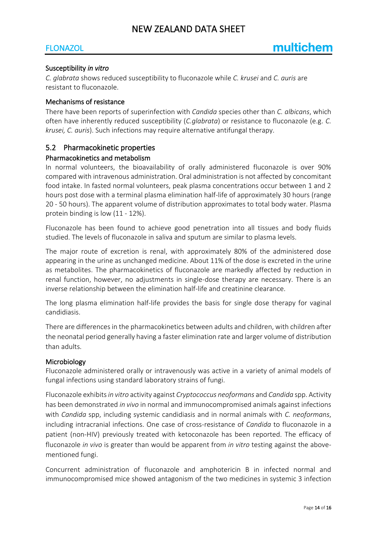## FLONAZOL

#### Susceptibility *in vitro*

*C. glabrata* shows reduced susceptibility to fluconazole while *C. krusei* and *C. auris* are resistant to fluconazole.

#### Mechanisms of resistance

There have been reports of superinfection with *Candida* species other than *C. albicans*, which often have inherently reduced susceptibility (*C.glabrata*) or resistance to fluconazole (e.g. *C. krusei, C. auris*). Such infections may require alternative antifungal therapy.

#### 5.2 Pharmacokinetic properties

#### Pharmacokinetics and metabolism

In normal volunteers, the bioavailability of orally administered fluconazole is over 90% compared with intravenous administration. Oral administration is not affected by concomitant food intake. In fasted normal volunteers, peak plasma concentrations occur between 1 and 2 hours post dose with a terminal plasma elimination half-life of approximately 30 hours (range 20 - 50 hours). The apparent volume of distribution approximates to total body water. Plasma protein binding is low (11 - 12%).

Fluconazole has been found to achieve good penetration into all tissues and body fluids studied. The levels of fluconazole in saliva and sputum are similar to plasma levels.

The major route of excretion is renal, with approximately 80% of the administered dose appearing in the urine as unchanged medicine. About 11% of the dose is excreted in the urine as metabolites. The pharmacokinetics of fluconazole are markedly affected by reduction in renal function, however, no adjustments in single-dose therapy are necessary. There is an inverse relationship between the elimination half-life and creatinine clearance.

The long plasma elimination half-life provides the basis for single dose therapy for vaginal candidiasis.

There are differences in the pharmacokinetics between adults and children, with children after the neonatal period generally having a faster elimination rate and larger volume of distribution than adults.

#### Microbiology

Fluconazole administered orally or intravenously was active in a variety of animal models of fungal infections using standard laboratory strains of fungi.

Fluconazole exhibits *in vitro* activity against *Cryptococcus neoformans* and *Candida* spp. Activity has been demonstrated *in vivo* in normal and immunocompromised animals against infections with *Candida* spp, including systemic candidiasis and in normal animals with *C. neoformans*, including intracranial infections. One case of cross-resistance of *Candida* to fluconazole in a patient (non-HIV) previously treated with ketoconazole has been reported. The efficacy of fluconazole *in vivo* is greater than would be apparent from *in vitro* testing against the abovementioned fungi.

Concurrent administration of fluconazole and amphotericin B in infected normal and immunocompromised mice showed antagonism of the two medicines in systemic 3 infection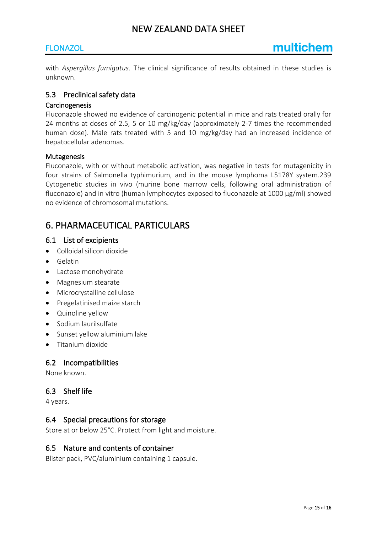## **FLONAZOL**

with *Aspergillus fumigatus*. The clinical significance of results obtained in these studies is unknown.

## 5.3 Preclinical safety data

#### Carcinogenesis

Fluconazole showed no evidence of carcinogenic potential in mice and rats treated orally for 24 months at doses of 2.5, 5 or 10 mg/kg/day (approximately 2-7 times the recommended human dose). Male rats treated with 5 and 10 mg/kg/day had an increased incidence of hepatocellular adenomas.

#### **Mutagenesis**

Fluconazole, with or without metabolic activation, was negative in tests for mutagenicity in four strains of Salmonella typhimurium, and in the mouse lymphoma L5178Y system.239 Cytogenetic studies in vivo (murine bone marrow cells, following oral administration of fluconazole) and in vitro (human lymphocytes exposed to fluconazole at 1000 μg/ml) showed no evidence of chromosomal mutations.

# 6. PHARMACEUTICAL PARTICULARS

#### 6.1 List of excipients

- Colloidal silicon dioxide
- Gelatin
- Lactose monohydrate
- Magnesium stearate
- Microcrystalline cellulose
- Pregelatinised maize starch
- Quinoline yellow
- Sodium laurilsulfate
- Sunset yellow aluminium lake
- Titanium dioxide

## 6.2 Incompatibilities

None known.

## 6.3 Shelf life

4 years.

## 6.4 Special precautions for storage

Store at or below 25°C. Protect from light and moisture.

## 6.5 Nature and contents of container

Blister pack, PVC/aluminium containing 1 capsule.